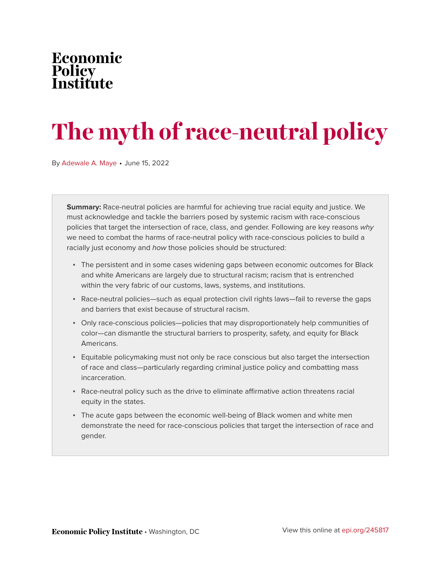### Economic Policy<br>Institu fiıte

# **The myth of race-neutral policy**

By [Adewale A. Maye](https://www.epi.org/people/adewale-a-maye/) • June 15, 2022

**Summary:** Race-neutral policies are harmful for achieving true racial equity and justice. We must acknowledge and tackle the barriers posed by systemic racism with race-conscious policies that target the intersection of race, class, and gender. Following are key reasons why we need to combat the harms of race-neutral policy with race-conscious policies to build a racially just economy and how those policies should be structured:

- The persistent and in some cases widening gaps between economic outcomes for Black and white Americans are largely due to structural racism; racism that is entrenched within the very fabric of our customs, laws, systems, and institutions.
- Race-neutral policies—such as equal protection civil rights laws—fail to reverse the gaps and barriers that exist because of structural racism.
- Only race-conscious policies—policies that may disproportionately help communities of color—can dismantle the structural barriers to prosperity, safety, and equity for Black Americans.
- Equitable policymaking must not only be race conscious but also target the intersection of race and class—particularly regarding criminal justice policy and combatting mass incarceration.
- Race-neutral policy such as the drive to eliminate affirmative action threatens racial equity in the states.
- The acute gaps between the economic well-being of Black women and white men demonstrate the need for race-conscious policies that target the intersection of race and gender.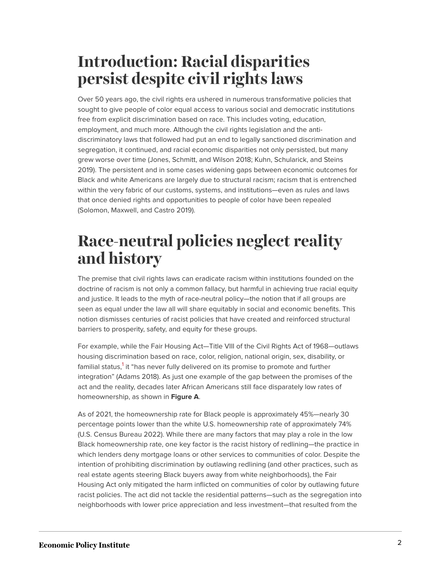# **Introduction: Racial disparities persist despite civil rights laws**

Over 50 years ago, the civil rights era ushered in numerous transformative policies that sought to give people of color equal access to various social and democratic institutions free from explicit discrimination based on race. This includes voting, education, employment, and much more. Although the civil rights legislation and the antidiscriminatory laws that followed had put an end to legally sanctioned discrimination and segregation, it continued, and racial economic disparities not only persisted, but many grew worse over time (Jones, Schmitt, and Wilson 2018; Kuhn, Schularick, and Steins 2019). The persistent and in some cases widening gaps between economic outcomes for Black and white Americans are largely due to structural racism; racism that is entrenched within the very fabric of our customs, systems, and institutions—even as rules and laws that once denied rights and opportunities to people of color have been repealed (Solomon, Maxwell, and Castro 2019).

# **Race-neutral policies neglect reality and history**

The premise that civil rights laws can eradicate racism within institutions founded on the doctrine of racism is not only a common fallacy, but harmful in achieving true racial equity and justice. It leads to the myth of race-neutral policy—the notion that if all groups are seen as equal under the law all will share equitably in social and economic benefits. This notion dismisses centuries of racist policies that have created and reinforced structural barriers to prosperity, safety, and equity for these groups.

<span id="page-1-0"></span>For example, while the Fair Housing Act—Title VIII of the Civil Rights Act of 1968—outlaws housing discrimination based on race, color, religion, national origin, sex, disability, or familial status,<sup>[1](#page-6-0)</sup> it "has never fully delivered on its promise to promote and further integration" (Adams 2018). As just one example of the gap between the promises of the act and the reality, decades later African Americans still face disparately low rates of homeownership, as shown in **Figure A**.

As of 2021, the homeownership rate for Black people is approximately 45%—nearly 30 percentage points lower than the white U.S. homeownership rate of approximately 74% (U.S. Census Bureau 2022). While there are many factors that may play a role in the low Black homeownership rate, one key factor is the racist history of redlining—the practice in which lenders deny mortgage loans or other services to communities of color. Despite the intention of prohibiting discrimination by outlawing redlining (and other practices, such as real estate agents steering Black buyers away from white neighborhoods), the Fair Housing Act only mitigated the harm inflicted on communities of color by outlawing future racist policies. The act did not tackle the residential patterns—such as the segregation into neighborhoods with lower price appreciation and less investment—that resulted from the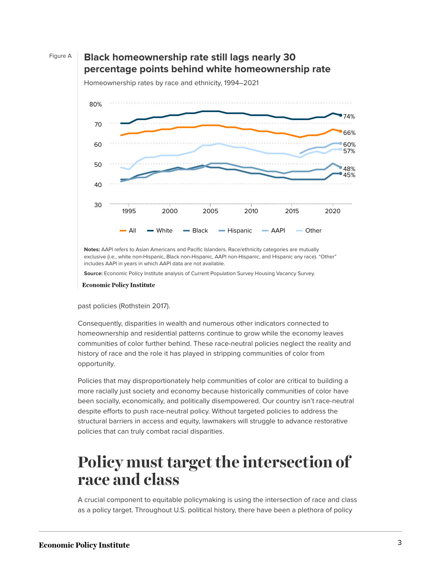

### Figure A **Black homeownership rate still lags nearly 30 percentage points behind white homeownership rate**



Homeownership rates by race and ethnicity, 1994–2021

**Notes:** AAPI refers to Asian Americans and Pacific Islanders. Race/ethnicity categories are mutually exclusive (i.e., white non-Hispanic, Black non-Hispanic, AAPI non-Hispanic, and Hispanic any race). "Other" includes AAPI in years in which AAPI data are not available.

**Source:** Economic Policy Institute analysis of Current Population Survey Housing Vacancy Survey.

**Economic Policy Institute** 

#### past policies (Rothstein 2017).

Consequently, disparities in wealth and numerous other indicators connected to homeownership and residential patterns continue to grow while the economy leaves communities of color further behind. These race-neutral policies neglect the reality and history of race and the role it has played in stripping communities of color from opportunity.

Policies that may disproportionately help communities of color are critical to building a more racially just society and economy because historically communities of color have been socially, economically, and politically disempowered. Our country isn't race-neutral despite efforts to push race-neutral policy. Without targeted policies to address the structural barriers in access and equity, lawmakers will struggle to advance restorative policies that can truly combat racial disparities.

### **Policy must target the intersection of race and class**

A crucial component to equitable policymaking is using the intersection of race and class as a policy target. Throughout U.S. political history, there have been a plethora of policy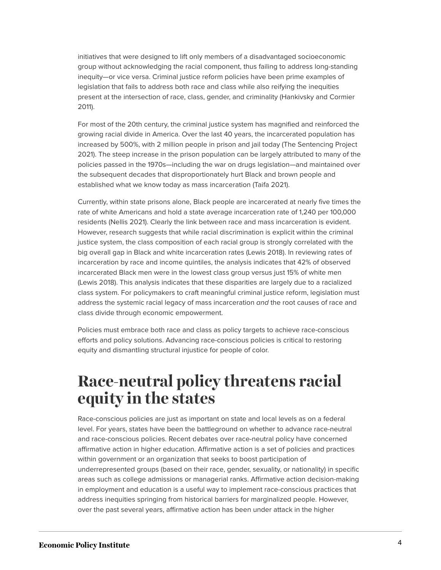initiatives that were designed to lift only members of a disadvantaged socioeconomic group without acknowledging the racial component, thus failing to address long-standing inequity—or vice versa. Criminal justice reform policies have been prime examples of legislation that fails to address both race and class while also reifying the inequities present at the intersection of race, class, gender, and criminality (Hankivsky and Cormier 2011).

For most of the 20th century, the criminal justice system has magnified and reinforced the growing racial divide in America. Over the last 40 years, the incarcerated population has increased by 500%, with 2 million people in prison and jail today (The Sentencing Project 2021). The steep increase in the prison population can be largely attributed to many of the policies passed in the 1970s—including the war on drugs legislation—and maintained over the subsequent decades that disproportionately hurt Black and brown people and established what we know today as mass incarceration (Taifa 2021).

Currently, within state prisons alone, Black people are incarcerated at nearly five times the rate of white Americans and hold a state average incarceration rate of 1,240 per 100,000 residents (Nellis 2021). Clearly the link between race and mass incarceration is evident. However, research suggests that while racial discrimination is explicit within the criminal justice system, the class composition of each racial group is strongly correlated with the big overall gap in Black and white incarceration rates (Lewis 2018). In reviewing rates of incarceration by race and income quintiles, the analysis indicates that 42% of observed incarcerated Black men were in the lowest class group versus just 15% of white men (Lewis 2018). This analysis indicates that these disparities are largely due to a racialized class system. For policymakers to craft meaningful criminal justice reform, legislation must address the systemic racial legacy of mass incarceration and the root causes of race and class divide through economic empowerment.

Policies must embrace both race and class as policy targets to achieve race-conscious efforts and policy solutions. Advancing race-conscious policies is critical to restoring equity and dismantling structural injustice for people of color.

### **Race-neutral policy threatens racial equity in the states**

Race-conscious policies are just as important on state and local levels as on a federal level. For years, states have been the battleground on whether to advance race-neutral and race-conscious policies. Recent debates over race-neutral policy have concerned affirmative action in higher education. Affirmative action is a set of policies and practices within government or an organization that seeks to boost participation of underrepresented groups (based on their race, gender, sexuality, or nationality) in specific areas such as college admissions or managerial ranks. Affirmative action decision-making in employment and education is a useful way to implement race-conscious practices that address inequities springing from historical barriers for marginalized people. However, over the past several years, affirmative action has been under attack in the higher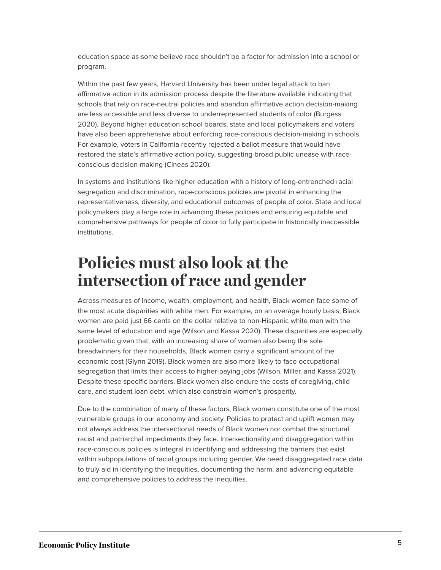education space as some believe race shouldn't be a factor for admission into a school or program.

Within the past few years, Harvard University has been under legal attack to ban affirmative action in its admission process despite the literature available indicating that schools that rely on race-neutral policies and abandon affirmative action decision-making are less accessible and less diverse to underrepresented students of color (Burgess 2020). Beyond higher education school boards, state and local policymakers and voters have also been apprehensive about enforcing race-conscious decision-making in schools. For example, voters in California recently rejected a ballot measure that would have restored the state's affirmative action policy, suggesting broad public unease with raceconscious decision-making (Cineas 2020).

In systems and institutions like higher education with a history of long-entrenched racial segregation and discrimination, race-conscious policies are pivotal in enhancing the representativeness, diversity, and educational outcomes of people of color. State and local policymakers play a large role in advancing these policies and ensuring equitable and comprehensive pathways for people of color to fully participate in historically inaccessible institutions.

## **Policies must also look at the intersection of race and gender**

Across measures of income, wealth, employment, and health, Black women face some of the most acute disparities with white men. For example, on an average hourly basis, Black women are paid just 66 cents on the dollar relative to non-Hispanic white men with the same level of education and age (Wilson and Kassa 2020). These disparities are especially problematic given that, with an increasing share of women also being the sole breadwinners for their households, Black women carry a significant amount of the economic cost (Glynn 2019). Black women are also more likely to face occupational segregation that limits their access to higher-paying jobs (Wilson, Miller, and Kassa 2021). Despite these specific barriers, Black women also endure the costs of caregiving, child care, and student loan debt, which also constrain women's prosperity.

Due to the combination of many of these factors, Black women constitute one of the most vulnerable groups in our economy and society. Policies to protect and uplift women may not always address the intersectional needs of Black women nor combat the structural racist and patriarchal impediments they face. Intersectionality and disaggregation within race-conscious policies is integral in identifying and addressing the barriers that exist within subpopulations of racial groups including gender. We need disaggregated race data to truly aid in identifying the inequities, documenting the harm, and advancing equitable and comprehensive policies to address the inequities.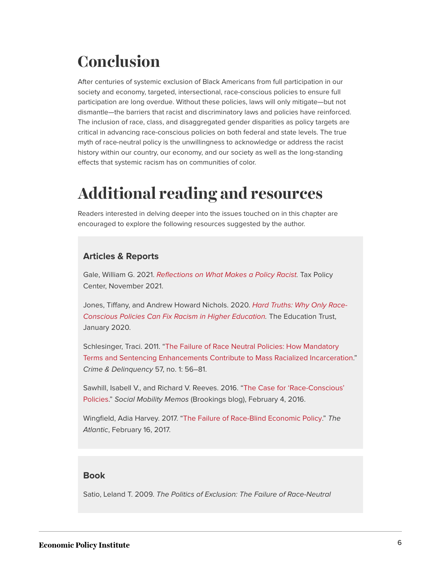# **Conclusion**

After centuries of systemic exclusion of Black Americans from full participation in our society and economy, targeted, intersectional, race-conscious policies to ensure full participation are long overdue. Without these policies, laws will only mitigate—but not dismantle—the barriers that racist and discriminatory laws and policies have reinforced. The inclusion of race, class, and disaggregated gender disparities as policy targets are critical in advancing race-conscious policies on both federal and state levels. The true myth of race-neutral policy is the unwillingness to acknowledge or address the racist history within our country, our economy, and our society as well as the long-standing effects that systemic racism has on communities of color.

# **Additional reading and resources**

Readers interested in delving deeper into the issues touched on in this chapter are encouraged to explore the following resources suggested by the author.

### **Articles & Reports**

Gale, William G. 2021. [Reflections on What Makes a Policy Racist.](https://www.brookings.edu/wp-content/uploads/2021/11/Reflections-on-What-Makes-a-Policy-Racist-1.pdf) Tax Policy Center, November 2021.

Jones, Tiffany, and Andrew Howard Nichols. 2020. [Hard Truths: Why Only Race-](https://files.eric.ed.gov/fulltext/ED603265.pdf)[Conscious Policies Can Fix Racism in Higher Education](https://files.eric.ed.gov/fulltext/ED603265.pdf). The Education Trust, January 2020.

Schlesinger, Traci. 2011. ["The Failure of Race Neutral Policies: How Mandatory](https://journals.sagepub.com/doi/abs/10.1177/0011128708323629) [Terms and Sentencing Enhancements Contribute to Mass Racialized Incarceration](https://journals.sagepub.com/doi/abs/10.1177/0011128708323629)." Crime & Delinquency 57, no. 1: 56–81.

Sawhill, Isabell V., and Richard V. Reeves. 2016. ["The Case for 'Race-Conscious'](https://www.brookings.edu/blog/social-mobility-memos/2016/02/04/the-case-for-race-conscious-policies/) [Policies.](https://www.brookings.edu/blog/social-mobility-memos/2016/02/04/the-case-for-race-conscious-policies/)" Social Mobility Memos (Brookings blog), February 4, 2016.

Wingfield, Adia Harvey. 2017. ["The Failure of Race-Blind Economic Policy](https://www.theatlantic.com/business/archive/2017/02/race-economic-policy/516966/)." The Atlantic, February 16, 2017.

### **Book**

Satio, Leland T. 2009. The Politics of Exclusion: The Failure of Race-Neutral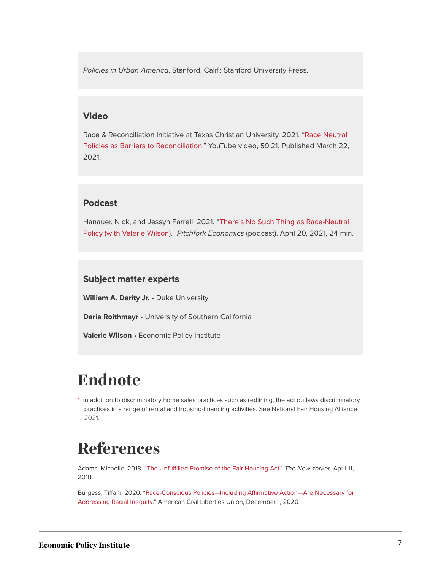Policies in Urban America. Stanford, Calif.: Stanford University Press.

#### **Video**

Race & Reconciliation Initiative at Texas Christian University. 2021. ["Race Neutral](https://www.youtube.com/watch?v=oiJ52sdutos) [Policies as Barriers to Reconciliation.](https://www.youtube.com/watch?v=oiJ52sdutos)" YouTube video, 59:21. Published March 22, 2021.

#### **Podcast**

Hanauer, Nick, and Jessyn Farrell. 2021. "[There's No Such Thing as Race-Neutral](https://pitchforkeconomics.com/episode/theres-no-such-thing-as-a-race-neutral-policy-with-valerie-wilson/) [Policy \(with Valerie Wilson\)](https://pitchforkeconomics.com/episode/theres-no-such-thing-as-a-race-neutral-policy-with-valerie-wilson/)." Pitchfork Economics (podcast), April 20, 2021, 24 min.

#### **Subject matter experts**

**William A. Darity Jr.** • Duke University

**Daria Roithmayr** • University of Southern California

**Valerie Wilson** • Economic Policy Institute

# **Endnote**

<span id="page-6-0"></span>[1.](#page-1-0) In addition to discriminatory home sales practices such as redlining, the act outlaws discriminatory practices in a range of rental and housing-financing activities. See National Fair Housing Alliance 2021.

## **References**

Adams, Michelle. 2018. "[The Unfulfilled Promise of the Fair Housing Act](https://www.newyorker.com/news/news-desk/the-unfulfilled-promise-of-the-fair-housing-act)." The New Yorker, April 11, 2018.

Burgess, Tiffani. 2020. ["Race-Conscious Policies—Including Affirmative Action—Are Necessary for](https://www.aclu.org/news/racial-justice/race-conscious-policies-including-affirmative-action-are-necessary-for-addressing-racial-inequity/) [Addressing Racial Inequity](https://www.aclu.org/news/racial-justice/race-conscious-policies-including-affirmative-action-are-necessary-for-addressing-racial-inequity/)." American Civil Liberties Union, December 1, 2020.